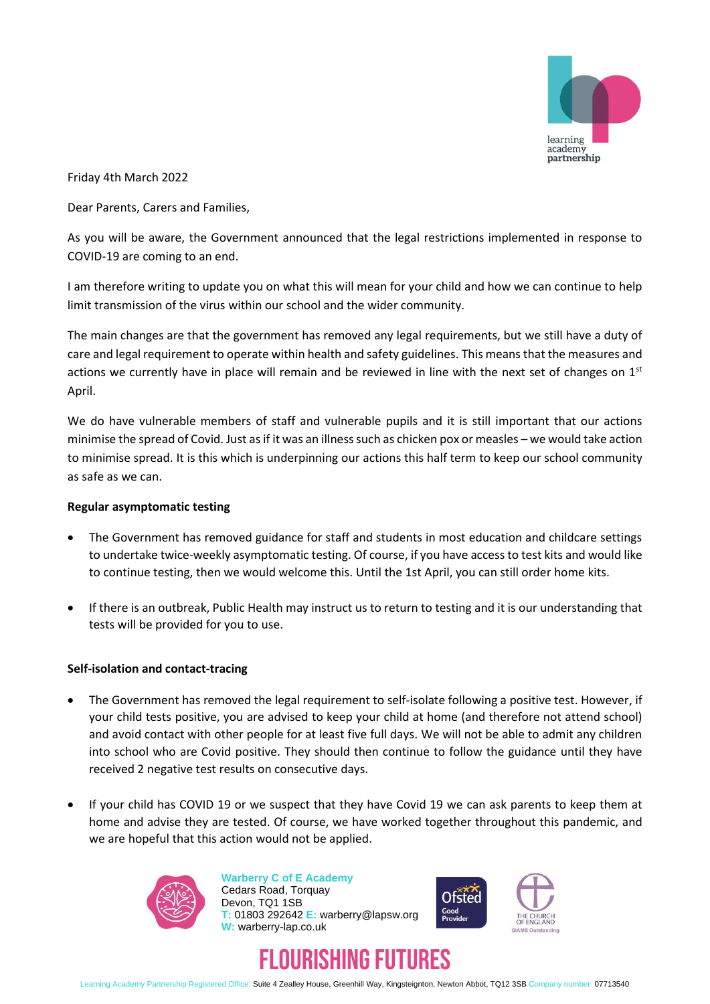

Friday 4th March 2022

Dear Parents, Carers and Families,

As you will be aware, the Government announced that the legal restrictions implemented in response to COVID-19 are coming to an end.

I am therefore writing to update you on what this will mean for your child and how we can continue to help limit transmission of the virus within our school and the wider community.

The main changes are that the government has removed any legal requirements, but we still have a duty of care and legal requirement to operate within health and safety guidelines. This means that the measures and actions we currently have in place will remain and be reviewed in line with the next set of changes on  $1<sup>st</sup>$ April.

We do have vulnerable members of staff and vulnerable pupils and it is still important that our actions minimise the spread of Covid. Just as if it was an illness such as chicken pox or measles – we would take action to minimise spread. It is this which is underpinning our actions this half term to keep our school community as safe as we can.

## **Regular asymptomatic testing**

- The Government has removed guidance for staff and students in most education and childcare settings to undertake twice-weekly asymptomatic testing. Of course, if you have access to test kits and would like to continue testing, then we would welcome this. Until the 1st April, you can still order home kits.
- If there is an outbreak, Public Health may instruct us to return to testing and it is our understanding that tests will be provided for you to use.

## **Self-isolation and contact-tracing**

- The Government has removed the legal requirement to self-isolate following a positive test. However, if your child tests positive, you are advised to keep your child at home (and therefore not attend school) and avoid contact with other people for at least five full days. We will not be able to admit any children into school who are Covid positive. They should then continue to follow the guidance until they have received 2 negative test results on consecutive days.
- If your child has COVID 19 or we suspect that they have Covid 19 we can ask parents to keep them at home and advise they are tested. Of course, we have worked together throughout this pandemic, and we are hopeful that this action would not be applied.



**Warberry C of E Academy** Cedars Road, Torquay Devon, TQ1 1SB **T:** 01803 292642 **E:** warberry@lapsw.org **W:** warberry-lap.co.uk







Learning Academy Partnership Registered Office: Suite 4 Zealley House, Greenhill Way, Kingsteignton, Newton Abbot, TQ12 3SB Company number: 07713540